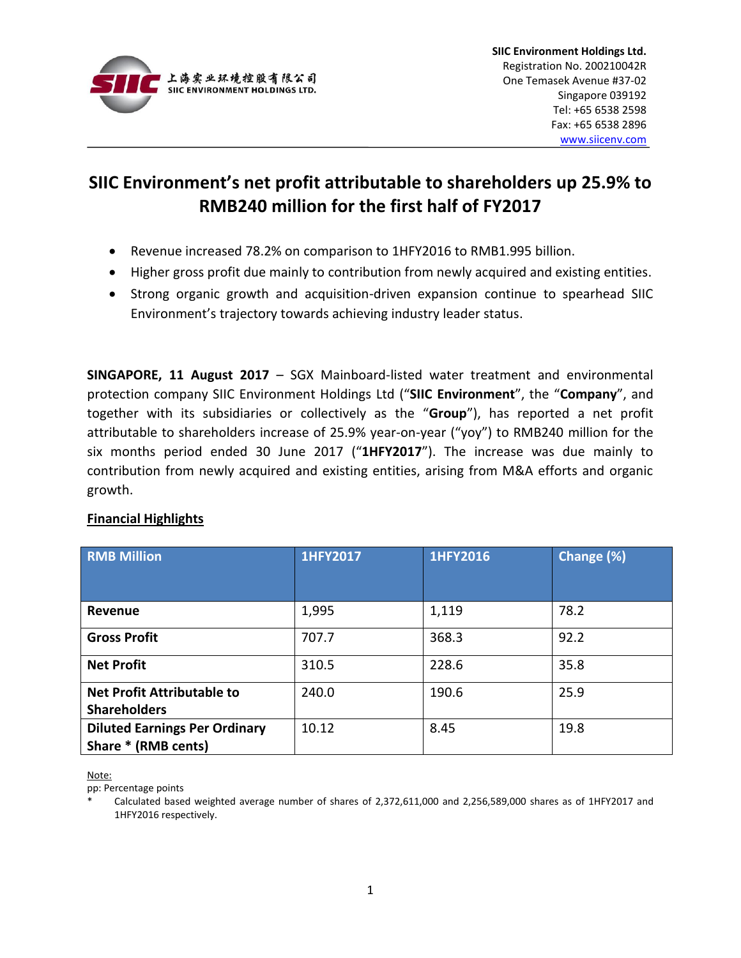

## **SIIC Environment's net profit attributable to shareholders up 25.9% to RMB240 million for the first half of FY2017**

- Revenue increased 78.2% on comparison to 1HFY2016 to RMB1.995 billion.
- Higher gross profit due mainly to contribution from newly acquired and existing entities.
- Strong organic growth and acquisition-driven expansion continue to spearhead SIIC Environment's trajectory towards achieving industry leader status.

**SINGAPORE, 11 August 2017** – SGX Mainboard-listed water treatment and environmental protection company SIIC Environment Holdings Ltd ("**SIIC Environment**", the "**Company**", and together with its subsidiaries or collectively as the "**Group**"), has reported a net profit attributable to shareholders increase of 25.9% year-on-year ("yoy") to RMB240 million for the six months period ended 30 June 2017 ("**1HFY2017**"). The increase was due mainly to contribution from newly acquired and existing entities, arising from M&A efforts and organic growth.

## **Financial Highlights**

| <b>RMB Million</b>                   | <b>1HFY2017</b> | <b>1HFY2016</b> | Change (%) |
|--------------------------------------|-----------------|-----------------|------------|
|                                      |                 |                 |            |
| Revenue                              | 1,995           | 1,119           | 78.2       |
| <b>Gross Profit</b>                  | 707.7           | 368.3           | 92.2       |
| <b>Net Profit</b>                    | 310.5           | 228.6           | 35.8       |
| <b>Net Profit Attributable to</b>    | 240.0           | 190.6           | 25.9       |
| <b>Shareholders</b>                  |                 |                 |            |
| <b>Diluted Earnings Per Ordinary</b> | 10.12           | 8.45            | 19.8       |
| Share * (RMB cents)                  |                 |                 |            |

Note:

pp: Percentage points

Calculated based weighted average number of shares of 2,372,611,000 and 2,256,589,000 shares as of 1HFY2017 and 1HFY2016 respectively.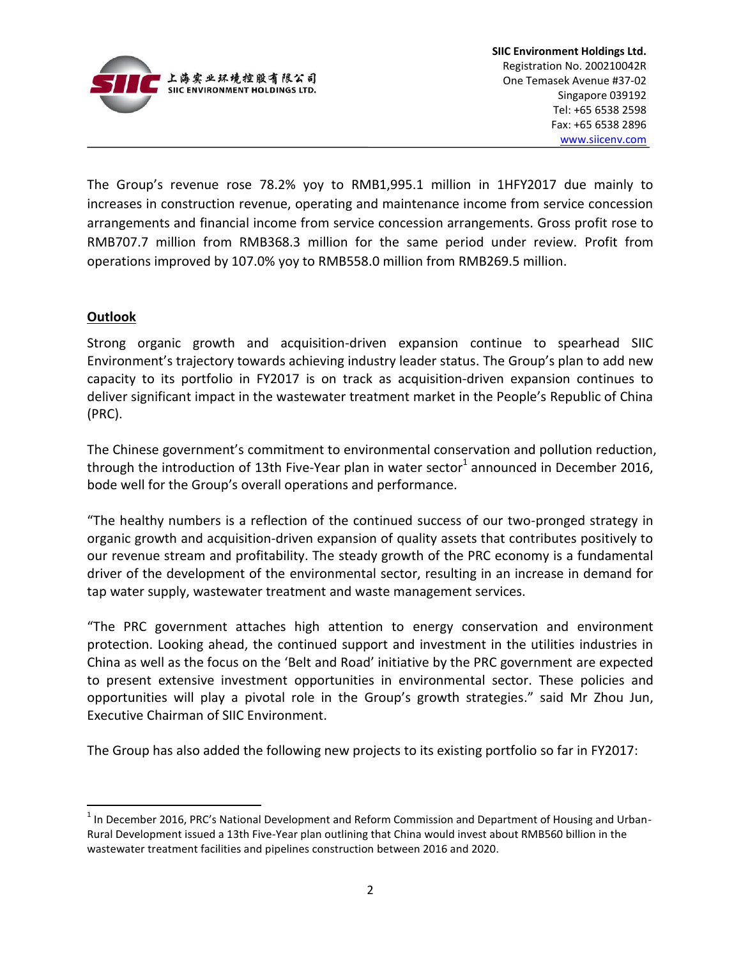

The Group's revenue rose 78.2% yoy to RMB1,995.1 million in 1HFY2017 due mainly to increases in construction revenue, operating and maintenance income from service concession arrangements and financial income from service concession arrangements. Gross profit rose to RMB707.7 million from RMB368.3 million for the same period under review. Profit from operations improved by 107.0% yoy to RMB558.0 million from RMB269.5 million.

## **Outlook**

 $\overline{a}$ 

Strong organic growth and acquisition-driven expansion continue to spearhead SIIC Environment's trajectory towards achieving industry leader status. The Group's plan to add new capacity to its portfolio in FY2017 is on track as acquisition-driven expansion continues to deliver significant impact in the wastewater treatment market in the People's Republic of China (PRC).

The Chinese government's commitment to environmental conservation and pollution reduction, through the introduction of 13th Five-Year plan in water sector<sup>1</sup> announced in December 2016, bode well for the Group's overall operations and performance.

"The healthy numbers is a reflection of the continued success of our two-pronged strategy in organic growth and acquisition-driven expansion of quality assets that contributes positively to our revenue stream and profitability. The steady growth of the PRC economy is a fundamental driver of the development of the environmental sector, resulting in an increase in demand for tap water supply, wastewater treatment and waste management services.

"The PRC government attaches high attention to energy conservation and environment protection. Looking ahead, the continued support and investment in the utilities industries in China as well as the focus on the 'Belt and Road' initiative by the PRC government are expected to present extensive investment opportunities in environmental sector. These policies and opportunities will play a pivotal role in the Group's growth strategies." said Mr Zhou Jun, Executive Chairman of SIIC Environment.

The Group has also added the following new projects to its existing portfolio so far in FY2017:

 $<sup>1</sup>$  In December 2016, PRC's National Development and Reform Commission and Department of Housing and Urban-</sup> Rural Development issued a 13th Five-Year plan outlining that China would invest about RMB560 billion in the wastewater treatment facilities and pipelines construction between 2016 and 2020.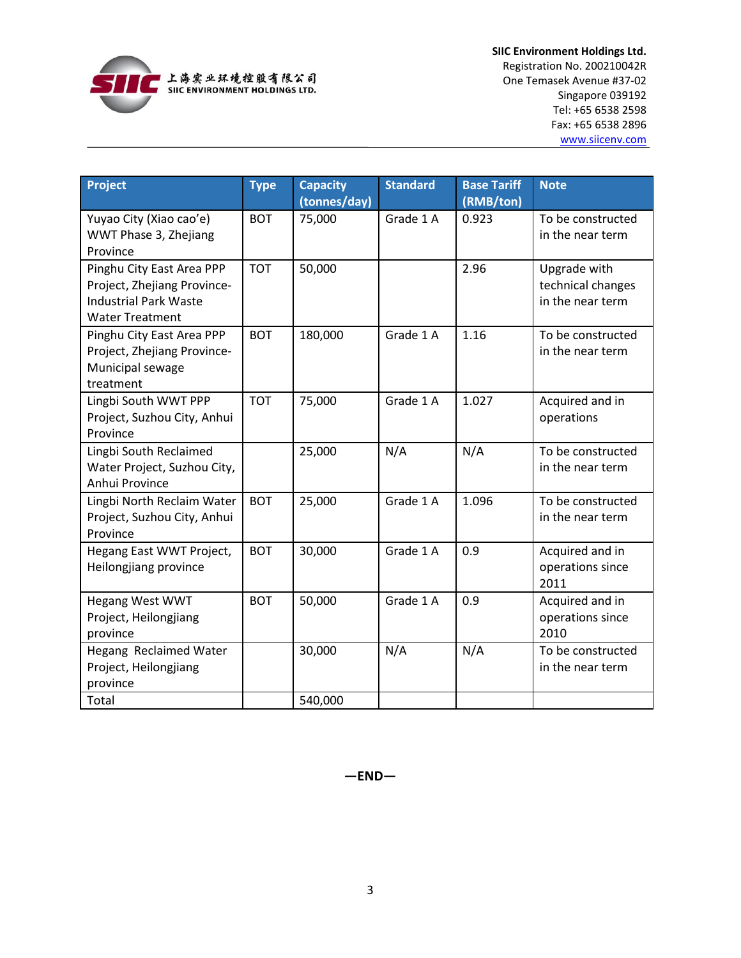

**SIIC Environment Holdings Ltd.** Registration No. 200210042R One Temasek Avenue #37-02 Singapore 039192 Tel: +65 6538 2598 Fax: +65 6538 2896 [www.siicenv.com](http://www.siicenv.com/)

| Project                                                                                                            | <b>Type</b> | <b>Capacity</b><br>(tonnes/day) | <b>Standard</b> | <b>Base Tariff</b><br>(RMB/ton) | <b>Note</b>                                           |
|--------------------------------------------------------------------------------------------------------------------|-------------|---------------------------------|-----------------|---------------------------------|-------------------------------------------------------|
| Yuyao City (Xiao cao'e)<br>WWT Phase 3, Zhejiang<br>Province                                                       | <b>BOT</b>  | 75,000                          | Grade 1 A       | 0.923                           | To be constructed<br>in the near term                 |
| Pinghu City East Area PPP<br>Project, Zhejiang Province-<br><b>Industrial Park Waste</b><br><b>Water Treatment</b> | <b>TOT</b>  | 50,000                          |                 | 2.96                            | Upgrade with<br>technical changes<br>in the near term |
| Pinghu City East Area PPP<br>Project, Zhejiang Province-<br>Municipal sewage<br>treatment                          | <b>BOT</b>  | 180,000                         | Grade 1 A       | 1.16                            | To be constructed<br>in the near term                 |
| Lingbi South WWT PPP<br>Project, Suzhou City, Anhui<br>Province                                                    | <b>TOT</b>  | 75,000                          | Grade 1 A       | 1.027                           | Acquired and in<br>operations                         |
| Lingbi South Reclaimed<br>Water Project, Suzhou City,<br>Anhui Province                                            |             | 25,000                          | N/A             | N/A                             | To be constructed<br>in the near term                 |
| Lingbi North Reclaim Water<br>Project, Suzhou City, Anhui<br>Province                                              | <b>BOT</b>  | 25,000                          | Grade 1 A       | 1.096                           | To be constructed<br>in the near term                 |
| Hegang East WWT Project,<br>Heilongjiang province                                                                  | <b>BOT</b>  | 30,000                          | Grade 1 A       | 0.9                             | Acquired and in<br>operations since<br>2011           |
| Hegang West WWT<br>Project, Heilongjiang<br>province                                                               | <b>BOT</b>  | 50,000                          | Grade 1 A       | 0.9                             | Acquired and in<br>operations since<br>2010           |
| Hegang Reclaimed Water<br>Project, Heilongjiang<br>province                                                        |             | 30,000                          | N/A             | N/A                             | To be constructed<br>in the near term                 |
| Total                                                                                                              |             | 540,000                         |                 |                                 |                                                       |